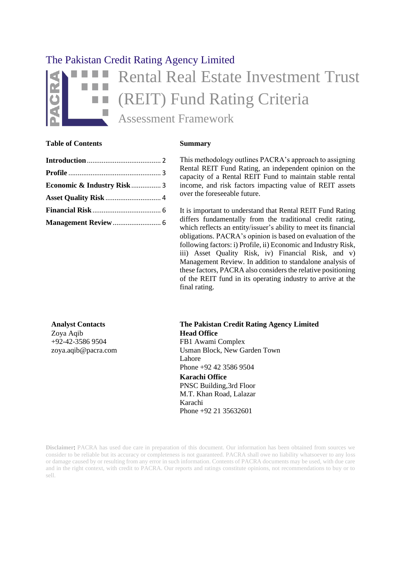# The Pakistan Credit Rating Agency Limited Rental Real Estate Investment Trust (REIT) Fund Rating Criteria Assessment Framework

#### **Table of Contents Summary**

Zoya Aqib +92-42-3586 9504 [zoya.aqib@pacra.com](mailto:zoya.aqib@pacra.com) This methodology outlines PACRA's approach to assigning Rental REIT Fund Rating, an independent opinion on the capacity of a Rental REIT Fund to maintain stable rental income, and risk factors impacting value of REIT assets over the foreseeable future.

It is important to understand that Rental REIT Fund Rating differs fundamentally from the traditional credit rating, which reflects an entity/issuer's ability to meet its financial obligations. PACRA's opinion is based on evaluation of the following factors: i) Profile, ii) Economic and Industry Risk, iii) Asset Quality Risk, iv) Financial Risk, and v) Management Review. In addition to standalone analysis of these factors, PACRA also considers the relative positioning of the REIT fund in its operating industry to arrive at the final rating.

**Analyst Contacts The Pakistan Credit Rating Agency Limited Head Office** FB1 Awami Complex Usman Block, New Garden Town Lahore Phone +92 42 3586 9504 **Karachi Office** PNSC Building,3rd Floor M.T. Khan Road, Lalazar Karachi Phone +92 21 35632601

**Disclaimer**: PACRA has used due care in preparation of this document. Our information has been obtained from sources we consider to be reliable but its accuracy or completeness is not guaranteed. PACRA shall owe no liability whatsoever to any loss or damage caused by or resulting from any error in such information. Contents of PACRA documents may be used, with due care and in the right context, with credit to PACRA. Our reports and ratings constitute opinions, not recommendations to buy or to sell.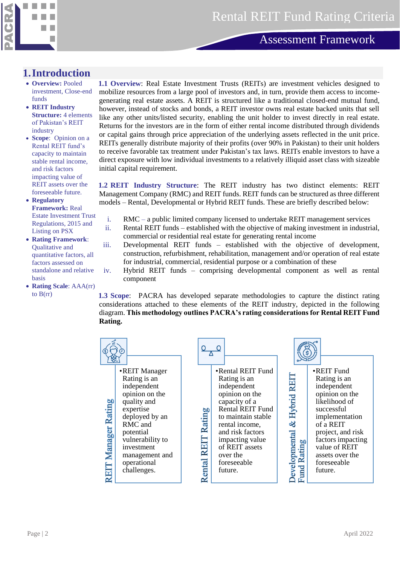

#### <span id="page-1-0"></span>**1.Introduction**

- **Overview:** Pooled investment, Close-end funds
- **REIT Industry Structure:** 4 elements of Pakistan's REIT industry
- **Scope**: Opinion on a Rental REIT fund's capacity to maintain stable rental income, and risk factors impacting value of REIT assets over the foreseeable future.
- **Regulatory Framework:** Real Estate Investment Trust Regulations, 2015 and Listing on PSX
- **Rating Framework**: Qualitative and quantitative factors, all factors assessed on standalone and relative basis
- **Rating Scale**: AAA(rr) to  $B(rr)$

**1.1 Overview**: Real Estate Investment Trusts (REITs) are investment vehicles designed to mobilize resources from a large pool of investors and, in turn, provide them access to incomegenerating real estate assets. A REIT is structured like a traditional closed-end mutual fund, however, instead of stocks and bonds, a REIT investor owns real estate backed units that sell like any other units/listed security, enabling the unit holder to invest directly in real estate. Returns for the investors are in the form of either rental income distributed through dividends or capital gains through price appreciation of the underlying assets reflected in the unit price. REITs generally distribute majority of their profits (over 90% in Pakistan) to their unit holders to receive favorable tax treatment under Pakistan's tax laws. REITs enable investors to have a direct exposure with low individual investments to a relatively illiquid asset class with sizeable initial capital requirement.

**1.2 REIT Industry Structure**: The REIT industry has two distinct elements: REIT Management Company (RMC) and REIT funds. REIT funds can be structured as three different models – Rental, Developmental or Hybrid REIT funds. These are briefly described below:

- i. RMC a public limited company licensed to undertake REIT management services
- ii. Rental REIT funds established with the objective of making investment in industrial, commercial or residential real estate for generating rental income
- iii. Developmental REIT funds established with the objective of development, construction, refurbishment, rehabilitation, management and/or operation of real estate for industrial, commercial, residential purpose or a combination of these
- iv. Hybrid REIT funds comprising developmental component as well as rental component

**1.3 Scope**: PACRA has developed separate methodologies to capture the distinct rating considerations attached to these elements of the REIT industry, depicted in the following diagram. **This methodology outlines PACRA's rating considerations for Rental REIT Fund Rating.**

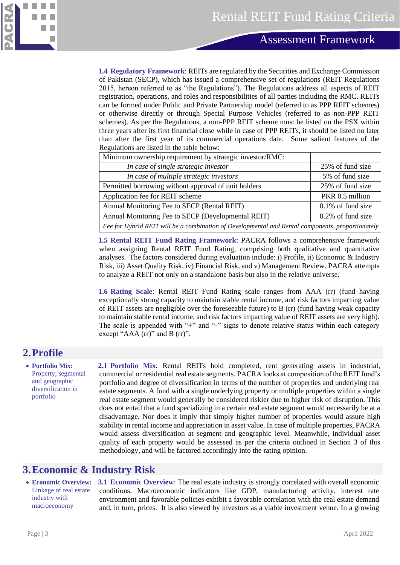

**1.4 Regulatory Framework**: REITs are regulated by the Securities and Exchange Commission of Pakistan (SECP), which has issued a comprehensive set of regulations (REIT Regulations 2015, hereon referred to as "the Regulations"). The Regulations address all aspects of REIT registration, operations, and roles and responsibilities of all parties including the RMC. REITs can be formed under Public and Private Partnership model (referred to as PPP REIT schemes) or otherwise directly or through Special Purpose Vehicles (referred to as non-PPP REIT schemes). As per the Regulations, a non-PPP REIT scheme must be listed on the PSX within three years after its first financial close while in case of PPP REITs, it should be listed no later than after the first year of its commercial operations date. Some salient features of the Regulations are listed in the table below:

| Minimum ownership requirement by strategic investor/RMC:                                          |                      |  |
|---------------------------------------------------------------------------------------------------|----------------------|--|
| In case of single strategic investor                                                              | 25% of fund size     |  |
| In case of multiple strategic investors                                                           | 5% of fund size      |  |
| Permitted borrowing without approval of unit holders                                              | 25% of fund size     |  |
| Application fee for REIT scheme                                                                   | PKR 0.5 million      |  |
| Annual Monitoring Fee to SECP (Rental REIT)                                                       | $0.1\%$ of fund size |  |
| Annual Monitoring Fee to SECP (Developmental REIT)                                                | 0.2% of fund size    |  |
| Fee for Hybrid REIT will be a combination of Developmental and Rental components, proportionately |                      |  |

**1.5 Rental REIT Fund Rating Framework**: PACRA follows a comprehensive framework when assigning Rental REIT Fund Rating, comprising both qualitative and quantitative analyses. The factors considered during evaluation include: i) Profile, ii) Economic & Industry Risk, iii) Asset Quality Risk, iv) Financial Risk, and v) Management Review. PACRA attempts to analyze a REIT not only on a standalone basis but also in the relative universe.

**1.6 Rating Scale**: Rental REIT Fund Rating scale ranges from AAA (rr) (fund having exceptionally strong capacity to maintain stable rental income, and risk factors impacting value of REIT assets are negligible over the foreseeable future) to B (rr) (fund having weak capacity to maintain stable rental income, and risk factors impacting value of REIT assets are very high). The scale is appended with "+" and "-" signs to denote relative status within each category except "AAA (rr)" and B (rr)".

# <span id="page-2-0"></span>**2.Profile**

• **Portfolio Mix:** Property, segmental and geographic diversification in portfolio

**2.1 Portfolio Mix**: Rental REITs hold completed, rent generating assets in industrial, commercial or residential real estate segments. PACRA looks at composition of the REIT fund's portfolio and degree of diversification in terms of the number of properties and underlying real estate segments. A fund with a single underlying property or multiple properties within a single real estate segment would generally be considered riskier due to higher risk of disruption. This does not entail that a fund specializing in a certain real estate segment would necessarily be at a disadvantage. Nor does it imply that simply higher number of properties would assure high stability in rental income and appreciation in asset value. In case of multiple properties, PACRA would assess diversification at segment and geographic level. Meanwhile, individual asset quality of each property would be assessed as per the criteria outlined in Section 3 of this methodology, and will be factored accordingly into the rating opinion.

### <span id="page-2-1"></span>**3.Economic & Industry Risk**

• **Economic Overview:** Linkage of real estate industry with macroeconomy

**3.1 Economic Overview**: The real estate industry is strongly correlated with overall economic conditions. Macroeconomic indicators like GDP, manufacturing activity, interest rate environment and favorable policies exhibit a favorable correlation with the real estate demand and, in turn, prices. It is also viewed by investors as a viable investment venue. In a growing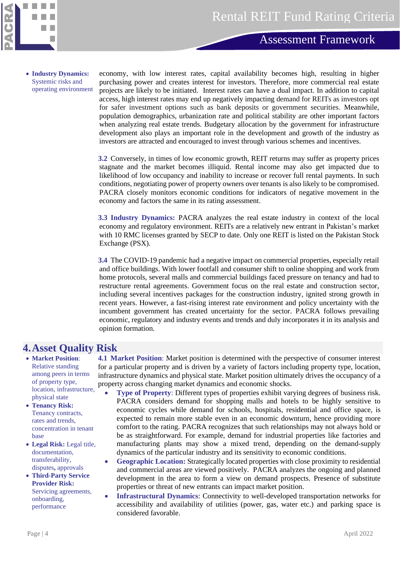

• **Industry Dynamics:**  Systemic risks and operating environment economy, with low interest rates, capital availability becomes high, resulting in higher purchasing power and creates interest for investors. Therefore, more commercial real estate projects are likely to be initiated. Interest rates can have a dual impact. In addition to capital access, high interest rates may end up negatively impacting demand for REITs as investors opt for safer investment options such as bank deposits or government securities. Meanwhile, population demographics, urbanization rate and political stability are other important factors when analyzing real estate trends. Budgetary allocation by the government for infrastructure development also plays an important role in the development and growth of the industry as investors are attracted and encouraged to invest through various schemes and incentives.

**3.2** Conversely, in times of low economic growth, REIT returns may suffer as property prices stagnate and the market becomes illiquid. Rental income may also get impacted due to likelihood of low occupancy and inability to increase or recover full rental payments. In such conditions, negotiating power of property owners over tenants is also likely to be compromised. PACRA closely monitors economic conditions for indicators of negative movement in the economy and factors the same in its rating assessment.

**3.3 Industry Dynamics:** PACRA analyzes the real estate industry in context of the local economy and regulatory environment. REITs are a relatively new entrant in Pakistan's market with 10 RMC licenses granted by SECP to date. Only one REIT is listed on the Pakistan Stock Exchange (PSX).

**3.4** The COVID-19 pandemic had a negative impact on commercial properties, especially retail and office buildings. With lower footfall and consumer shift to online shopping and work from home protocols, several malls and commercial buildings faced pressure on tenancy and had to restructure rental agreements. Government focus on the real estate and construction sector, including several incentives packages for the construction industry, ignited strong growth in recent years. However, a fast-rising interest rate environment and policy uncertainty with the incumbent government has created uncertainty for the sector. PACRA follows prevailing economic, regulatory and industry events and trends and duly incorporates it in its analysis and opinion formation.

### <span id="page-3-0"></span>**4.Asset Quality Risk**

- **Market Position**: Relative standing among peers in terms of property type, location, infrastructure, physical state
- **Tenancy Risk:** Tenancy contracts, rates and trends, concentration in tenant base
- **Legal Risk:** Legal title, documentation, transferability, disputes**,** approvals
- **Third-Party Service Provider Risk:**  Servicing agreements, onboarding, performance

**4.1 Market Position**: Market position is determined with the perspective of consumer interest for a particular property and is driven by a variety of factors including property type, location, infrastructure dynamics and physical state. Market position ultimately drives the occupancy of a property across changing market dynamics and economic shocks.

- **Type of Property**: Different types of properties exhibit varying degrees of business risk. PACRA considers demand for shopping malls and hotels to be highly sensitive to economic cycles while demand for schools, hospitals, residential and office space, is expected to remain more stable even in an economic downturn, hence providing more comfort to the rating. PACRA recognizes that such relationships may not always hold or be as straightforward. For example, demand for industrial properties like factories and manufacturing plants may show a mixed trend, depending on the demand-supply dynamics of the particular industry and its sensitivity to economic conditions.
- **Geographic Location:** Strategically located properties with close proximity to residential and commercial areas are viewed positively. PACRA analyzes the ongoing and planned development in the area to form a view on demand prospects. Presence of substitute properties or threat of new entrants can impact market position.
- **Infrastructural Dynamics**: Connectivity to well-developed transportation networks for accessibility and availability of utilities (power, gas, water etc.) and parking space is considered favorable.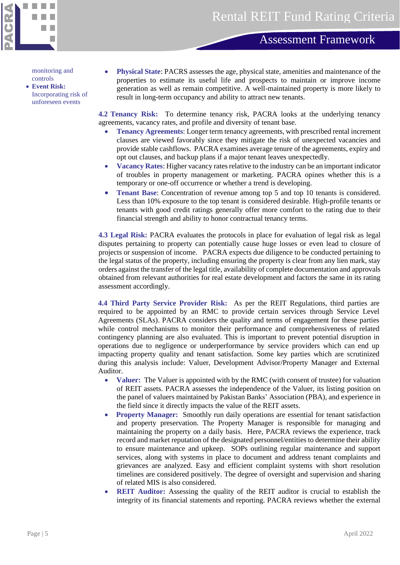

monitoring and controls

- **Event Risk:**  Incorporating risk of unforeseen events
- **Physical State**: PACRS assesses the age, physical state, amenities and maintenance of the properties to estimate its useful life and prospects to maintain or improve income generation as well as remain competitive. A well-maintained property is more likely to result in long-term occupancy and ability to attract new tenants.

**4.2 Tenancy Risk:** To determine tenancy risk, PACRA looks at the underlying tenancy agreements, vacancy rates, and profile and diversity of tenant base.

- **Tenancy Agreements**: Longer term tenancy agreements, with prescribed rental increment clauses are viewed favorably since they mitigate the risk of unexpected vacancies and provide stable cashflows. PACRA examines average tenure of the agreements, expiry and opt out clauses, and backup plans if a major tenant leaves unexpectedly.
- **Vacancy Rates**: Higher vacancy rates relative to the industry can be an important indicator of troubles in property management or marketing. PACRA opines whether this is a temporary or one-off occurrence or whether a trend is developing.
- **Tenant Base:** Concentration of revenue among top 5 and top 10 tenants is considered. Less than 10% exposure to the top tenant is considered desirable. High-profile tenants or tenants with good credit ratings generally offer more comfort to the rating due to their financial strength and ability to honor contractual tenancy terms.

**4.3 Legal Risk:** PACRA evaluates the protocols in place for evaluation of legal risk as legal disputes pertaining to property can potentially cause huge losses or even lead to closure of projects or suspension of income. PACRA expects due diligence to be conducted pertaining to the legal status of the property, including ensuring the property is clear from any lien mark, stay orders against the transfer of the legal title, availability of complete documentation and approvals obtained from relevant authorities for real estate development and factors the same in its rating assessment accordingly.

**4.4 Third Party Service Provider Risk:** As per the REIT Regulations, third parties are required to be appointed by an RMC to provide certain services through Service Level Agreements (SLAs). PACRA considers the quality and terms of engagement for these parties while control mechanisms to monitor their performance and comprehensiveness of related contingency planning are also evaluated. This is important to prevent potential disruption in operations due to negligence or underperformance by service providers which can end up impacting property quality and tenant satisfaction. Some key parties which are scrutinized during this analysis include: Valuer, Development Advisor/Property Manager and External Auditor.

- **Valuer:** The Valuer is appointed with by the RMC (with consent of trustee) for valuation of REIT assets. PACRA assesses the independence of the Valuer, its listing position on the panel of valuers maintained by Pakistan Banks' Association (PBA), and experience in the field since it directly impacts the value of the REIT assets.
- **Property Manager:** Smoothly run daily operations are essential for tenant satisfaction and property preservation. The Property Manager is responsible for managing and maintaining the property on a daily basis. Here, PACRA reviews the experience, track record and market reputation of the designated personnel/entities to determine their ability to ensure maintenance and upkeep. SOPs outlining regular maintenance and support services, along with systems in place to document and address tenant complaints and grievances are analyzed. Easy and efficient complaint systems with short resolution timelines are considered positively. The degree of oversight and supervision and sharing of related MIS is also considered.
- **REIT Auditor:** Assessing the quality of the REIT auditor is crucial to establish the integrity of its financial statements and reporting. PACRA reviews whether the external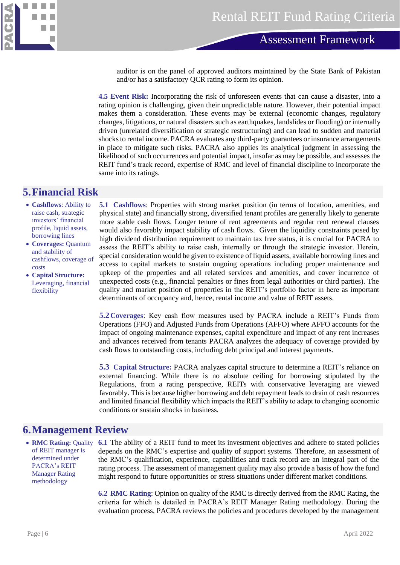

auditor is on the panel of approved auditors maintained by the State Bank of Pakistan and/or has a satisfactory QCR rating to form its opinion.

**4.5 Event Risk:** Incorporating the risk of unforeseen events that can cause a disaster, into a rating opinion is challenging, given their unpredictable nature. However, their potential impact makes them a consideration. These events may be external (economic changes, regulatory changes, litigations, or natural disasters such as earthquakes, landslides or flooding) or internally driven (unrelated diversification or strategic restructuring) and can lead to sudden and material shocks to rental income. PACRA evaluates any third-party guarantees or insurance arrangements in place to mitigate such risks. PACRA also applies its analytical judgment in assessing the likelihood of such occurrences and potential impact, insofar as may be possible, and assesses the REIT fund's track record, expertise of RMC and level of financial discipline to incorporate the same into its ratings.

#### <span id="page-5-0"></span>**5.Financial Risk**

- **Cashflows**: Ability to raise cash, strategic investors' financial profile, liquid assets, borrowing lines
- **Coverages:** Quantum and stability of cashflows, coverage of costs

• **Capital Structure:**  Leveraging, financial flexibility

**5.1 Cashflows**: Properties with strong market position (in terms of location, amenities, and physical state) and financially strong, diversified tenant profiles are generally likely to generate more stable cash flows. Longer tenure of rent agreements and regular rent renewal clauses would also favorably impact stability of cash flows. Given the liquidity constraints posed by high dividend distribution requirement to maintain tax free status, it is crucial for PACRA to assess the REIT's ability to raise cash, internally or through the strategic investor. Herein, special consideration would be given to existence of liquid assets, available borrowing lines and access to capital markets to sustain ongoing operations including proper maintenance and upkeep of the properties and all related services and amenities, and cover incurrence of unexpected costs (e.g., financial penalties or fines from legal authorities or third parties). The quality and market position of properties in the REIT's portfolio factor in here as important determinants of occupancy and, hence, rental income and value of REIT assets.

**5.2Coverages**: Key cash flow measures used by PACRA include a REIT's Funds from Operations (FFO) and Adjusted Funds from Operations (AFFO) where AFFO accounts for the impact of ongoing maintenance expenses, capital expenditure and impact of any rent increases and advances received from tenants PACRA analyzes the adequacy of coverage provided by cash flows to outstanding costs, including debt principal and interest payments.

**5.3 Capital Structure:** PACRA analyzes capital structure to determine a REIT's reliance on external financing. While there is no absolute ceiling for borrowing stipulated by the Regulations, from a rating perspective, REITs with conservative leveraging are viewed favorably. This is because higher borrowing and debt repayment leads to drain of cash resources and limited financial flexibility which impacts the REIT's ability to adapt to changing economic conditions or sustain shocks in business.

#### <span id="page-5-1"></span>**6.Management Review**

• **RMC Rating: Ouality** of REIT manager is determined under PACRA's REIT Manager Rating methodology

**6.1** The ability of a REIT fund to meet its investment objectives and adhere to stated policies depends on the RMC's expertise and quality of support systems. Therefore, an assessment of the RMC's qualification, experience, capabilities and track record are an integral part of the rating process. The assessment of management quality may also provide a basis of how the fund might respond to future opportunities or stress situations under different market conditions.

**6.2 RMC Rating**: Opinion on quality of the RMC is directly derived from the RMC Rating, the criteria for which is detailed in PACRA's REIT Manager Rating methodology. During the evaluation process, PACRA reviews the policies and procedures developed by the management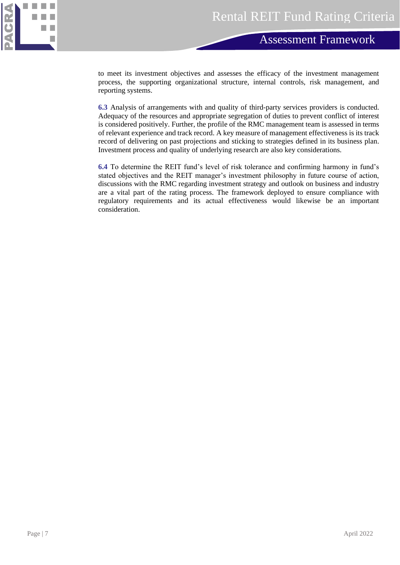

to meet its investment objectives and assesses the efficacy of the investment management process, the supporting organizational structure, internal controls, risk management, and reporting systems.

**6.3** Analysis of arrangements with and quality of third-party services providers is conducted. Adequacy of the resources and appropriate segregation of duties to prevent conflict of interest is considered positively. Further, the profile of the RMC management team is assessed in terms of relevant experience and track record. A key measure of management effectiveness is its track record of delivering on past projections and sticking to strategies defined in its business plan. Investment process and quality of underlying research are also key considerations.

**6.4** To determine the REIT fund's level of risk tolerance and confirming harmony in fund's stated objectives and the REIT manager's investment philosophy in future course of action, discussions with the RMC regarding investment strategy and outlook on business and industry are a vital part of the rating process. The framework deployed to ensure compliance with regulatory requirements and its actual effectiveness would likewise be an important consideration.